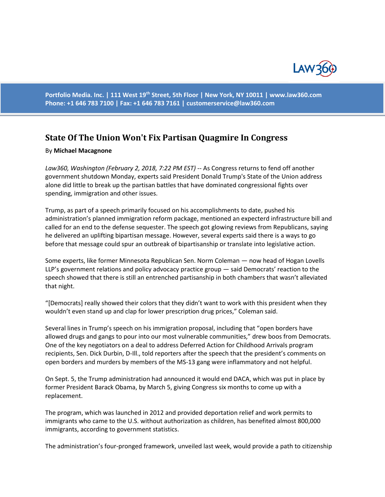

**Portfolio Media. Inc. | 111 West 19th Street, 5th Floor | New York, NY 10011 | www.law360.com Phone: +1 646 783 7100 | Fax: +1 646 783 7161 | [customerservice@law360.com](mailto:customerservice@law360.com)**

## **State Of The Union Won't Fix Partisan Quagmire In Congress**

## By **Michael Macagnone**

*Law360, Washington (February 2, 2018, 7:22 PM EST) --* As Congress returns to fend off another government shutdown Monday, experts said President Donald Trump's State of the Union address alone did little to break up the partisan battles that have dominated congressional fights over spending, immigration and other issues.

Trump, as part of a speech primarily focused on his accomplishments to date, pushed his administration's planned immigration reform package, mentioned an expecterd infrastructure bill and called for an end to the defense sequester. The speech got glowing reviews from Republicans, saying he delivered an uplifting bipartisan message. However, several experts said there is a ways to go before that message could spur an outbreak of bipartisanship or translate into legislative action.

Some experts, like former Minnesota Republican Sen. Norm Coleman — now head of Hogan Lovells LLP's government relations and policy advocacy practice group — said Democrats' reaction to the speech showed that there is still an entrenched partisanship in both chambers that wasn't alleviated that night.

"[Democrats] really showed their colors that they didn't want to work with this president when they wouldn't even stand up and clap for lower prescription drug prices," Coleman said.

Several lines in Trump's speech on his immigration proposal, including that "open borders have allowed drugs and gangs to pour into our most vulnerable communities," drew boos from Democrats. One of the key negotiators on a deal to address Deferred Action for Childhood Arrivals program recipients, Sen. Dick Durbin, D-Ill., told reporters after the speech that the president's comments on open borders and murders by members of the MS-13 gang were inflammatory and not helpful.

On Sept. 5, the Trump administration had announced it would end DACA, which was put in place by former President Barack Obama, by March 5, giving Congress six months to come up with a replacement.

The program, which was launched in 2012 and provided deportation relief and work permits to immigrants who came to the U.S. without authorization as children, has benefited almost 800,000 immigrants, according to government statistics.

The administration's four-pronged framework, unveiled last week, would provide a path to citizenship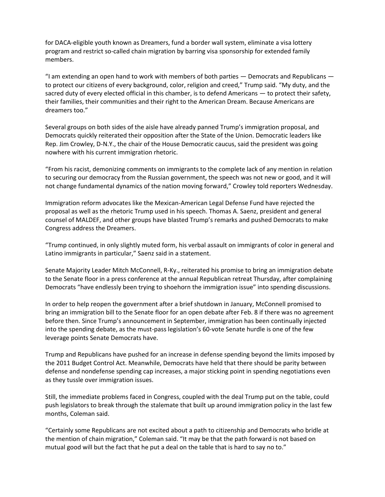for DACA-eligible youth known as Dreamers, fund a border wall system, eliminate a visa lottery program and restrict so-called chain migration by barring visa sponsorship for extended family members.

"I am extending an open hand to work with members of both parties — Democrats and Republicans to protect our citizens of every background, color, religion and creed," Trump said. "My duty, and the sacred duty of every elected official in this chamber, is to defend Americans — to protect their safety, their families, their communities and their right to the American Dream. Because Americans are dreamers too."

Several groups on both sides of the aisle have already panned Trump's immigration proposal, and Democrats quickly reiterated their opposition after the State of the Union. Democratic leaders like Rep. Jim Crowley, D-N.Y., the chair of the House Democratic caucus, said the president was going nowhere with his current immigration rhetoric.

"From his racist, demonizing comments on immigrants to the complete lack of any mention in relation to securing our democracy from the Russian government, the speech was not new or good, and it will not change fundamental dynamics of the nation moving forward," Crowley told reporters Wednesday.

Immigration reform advocates like the Mexican-American Legal Defense Fund have rejected the proposal as well as the rhetoric Trump used in his speech. Thomas A. Saenz, president and general counsel of MALDEF, and other groups have blasted Trump's remarks and pushed Democrats to make Congress address the Dreamers.

"Trump continued, in only slightly muted form, his verbal assault on immigrants of color in general and Latino immigrants in particular," Saenz said in a statement.

Senate Majority Leader Mitch McConnell, R-Ky., reiterated his promise to bring an immigration debate to the Senate floor in a press conference at the annual Republican retreat Thursday, after complaining Democrats "have endlessly been trying to shoehorn the immigration issue" into spending discussions.

In order to help reopen the government after a brief shutdown in January, McConnell promised to bring an immigration bill to the Senate floor for an open debate after Feb. 8 if there was no agreement before then. Since Trump's announcement in September, immigration has been continually injected into the spending debate, as the must-pass legislation's 60-vote Senate hurdle is one of the few leverage points Senate Democrats have.

Trump and Republicans have pushed for an increase in defense spending beyond the limits imposed by the 2011 Budget Control Act. Meanwhile, Democrats have held that there should be parity between defense and nondefense spending cap increases, a major sticking point in spending negotiations even as they tussle over immigration issues.

Still, the immediate problems faced in Congress, coupled with the deal Trump put on the table, could push legislators to break through the stalemate that built up around immigration policy in the last few months, Coleman said.

"Certainly some Republicans are not excited about a path to citizenship and Democrats who bridle at the mention of chain migration," Coleman said. "It may be that the path forward is not based on mutual good will but the fact that he put a deal on the table that is hard to say no to."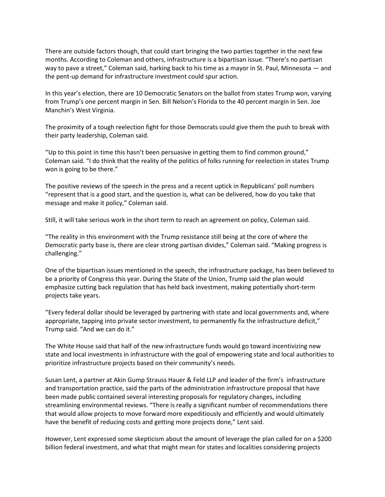There are outside factors though, that could start bringing the two parties together in the next few months. According to Coleman and others, infrastructure is a bipartisan issue. "There's no partisan way to pave a street," Coleman said, harking back to his time as a mayor in St. Paul, Minnesota — and the pent-up demand for infrastructure investment could spur action.

In this year's election, there are 10 Democratic Senators on the ballot from states Trump won, varying from Trump's one percent margin in Sen. Bill Nelson's Florida to the 40 percent margin in Sen. Joe Manchin's West Virginia.

The proximity of a tough reelection fight for those Democrats could give them the push to break with their party leadership, Coleman said.

"Up to this point in time this hasn't been persuasive in getting them to find common ground," Coleman said. "I do think that the reality of the politics of folks running for reelection in states Trump won is going to be there."

The positive reviews of the speech in the press and a recent uptick in Republicans' poll numbers "represent that is a good start, and the question is, what can be delivered, how do you take that message and make it policy," Coleman said.

Still, it will take serious work in the short term to reach an agreement on policy, Coleman said.

"The reality in this environment with the Trump resistance still being at the core of where the Democratic party base is, there are clear strong partisan divides," Coleman said. "Making progress is challenging."

One of the bipartisan issues mentioned in the speech, the infrastructure package, has been believed to be a priority of Congress this year. During the State of the Union, Trump said the plan would emphasize cutting back regulation that has held back investment, making potentially short-term projects take years.

"Every federal dollar should be leveraged by partnering with state and local governments and, where appropriate, tapping into private sector investment, to permanently fix the infrastructure deficit," Trump said. "And we can do it."

The White House said that half of the new infrastructure funds would go toward incentivizing new state and local investments in infrastructure with the goal of empowering state and local authorities to prioritize infrastructure projects based on their community's needs.

Susan Lent, a partner at Akin Gump Strauss Hauer & Feld LLP and leader of the firm's infrastructure and transportation practice, said the parts of the administration infrastructure proposal that have been made public contained several interesting proposals for regulatory changes, including streamlining environmental reviews. "There is really a significant number of recommendations there that would allow projects to move forward more expeditiously and efficiently and would ultimately have the benefit of reducing costs and getting more projects done," Lent said.

However, Lent expressed some skepticism about the amount of leverage the plan called for on a \$200 billion federal investment, and what that might mean for states and localities considering projects